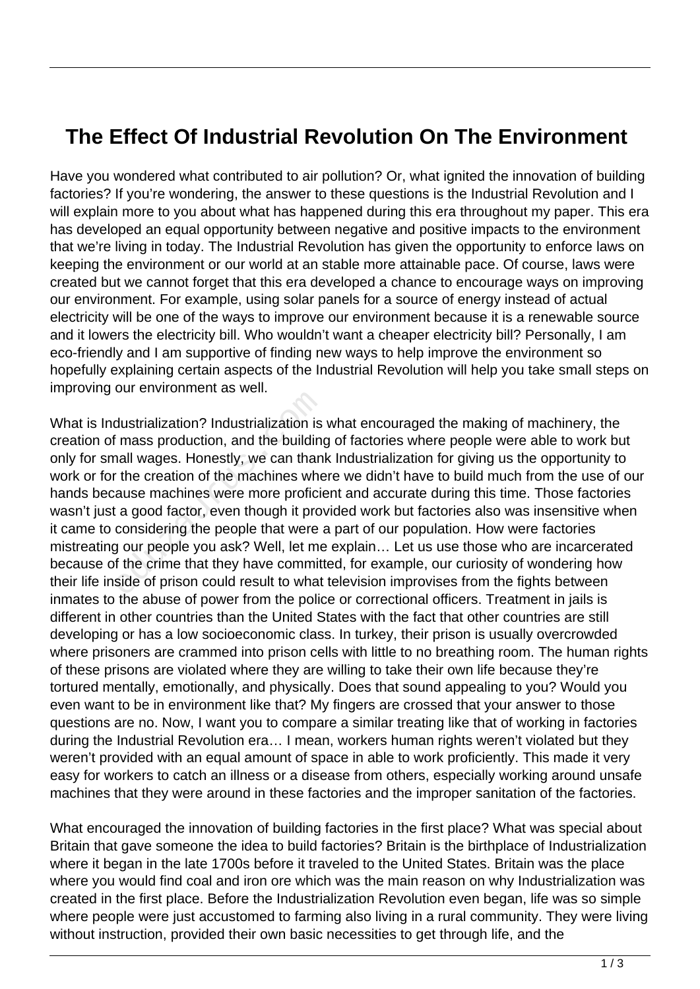## **The Effect Of Industrial Revolution On The Environment**

Have you wondered what contributed to air pollution? Or, what ignited the innovation of building factories? If you're wondering, the answer to these questions is the Industrial Revolution and I will explain more to you about what has happened during this era throughout my paper. This era has developed an equal opportunity between negative and positive impacts to the environment that we're living in today. The Industrial Revolution has given the opportunity to enforce laws on keeping the environment or our world at an stable more attainable pace. Of course, laws were created but we cannot forget that this era developed a chance to encourage ways on improving our environment. For example, using solar panels for a source of energy instead of actual electricity will be one of the ways to improve our environment because it is a renewable source and it lowers the electricity bill. Who wouldn't want a cheaper electricity bill? Personally, I am eco-friendly and I am supportive of finding new ways to help improve the environment so hopefully explaining certain aspects of the Industrial Revolution will help you take small steps on improving our environment as well.

What is Industrialization? Industrialization is what encouraged the making of machinery, the creation of mass production, and the building of factories where people were able to work but only for small wages. Honestly, we can thank Industrialization for giving us the opportunity to work or for the creation of the machines where we didn't have to build much from the use of our hands because machines were more proficient and accurate during this time. Those factories wasn't just a good factor, even though it provided work but factories also was insensitive when it came to considering the people that were a part of our population. How were factories mistreating our people you ask? Well, let me explain… Let us use those who are incarcerated because of the crime that they have committed, for example, our curiosity of wondering how their life inside of prison could result to what television improvises from the fights between inmates to the abuse of power from the police or correctional officers. Treatment in jails is different in other countries than the United States with the fact that other countries are still developing or has a low socioeconomic class. In turkey, their prison is usually overcrowded where prisoners are crammed into prison cells with little to no breathing room. The human rights of these prisons are violated where they are willing to take their own life because they're tortured mentally, emotionally, and physically. Does that sound appealing to you? Would you even want to be in environment like that? My fingers are crossed that your answer to those questions are no. Now, I want you to compare a similar treating like that of working in factories during the Industrial Revolution era… I mean, workers human rights weren't violated but they weren't provided with an equal amount of space in able to work proficiently. This made it very easy for workers to catch an illness or a disease from others, especially working around unsafe machines that they were around in these factories and the improper sanitation of the factories. dustrialization? Industrialization is<br>mass production, and the building<br>nall wages. Honestly, we can than<br>the creation of the machines whe<br>ause machines were more proficial<br>a good factor, even though it pro-<br>considering th

What encouraged the innovation of building factories in the first place? What was special about Britain that gave someone the idea to build factories? Britain is the birthplace of Industrialization where it began in the late 1700s before it traveled to the United States. Britain was the place where you would find coal and iron ore which was the main reason on why Industrialization was created in the first place. Before the Industrialization Revolution even began, life was so simple where people were just accustomed to farming also living in a rural community. They were living without instruction, provided their own basic necessities to get through life, and the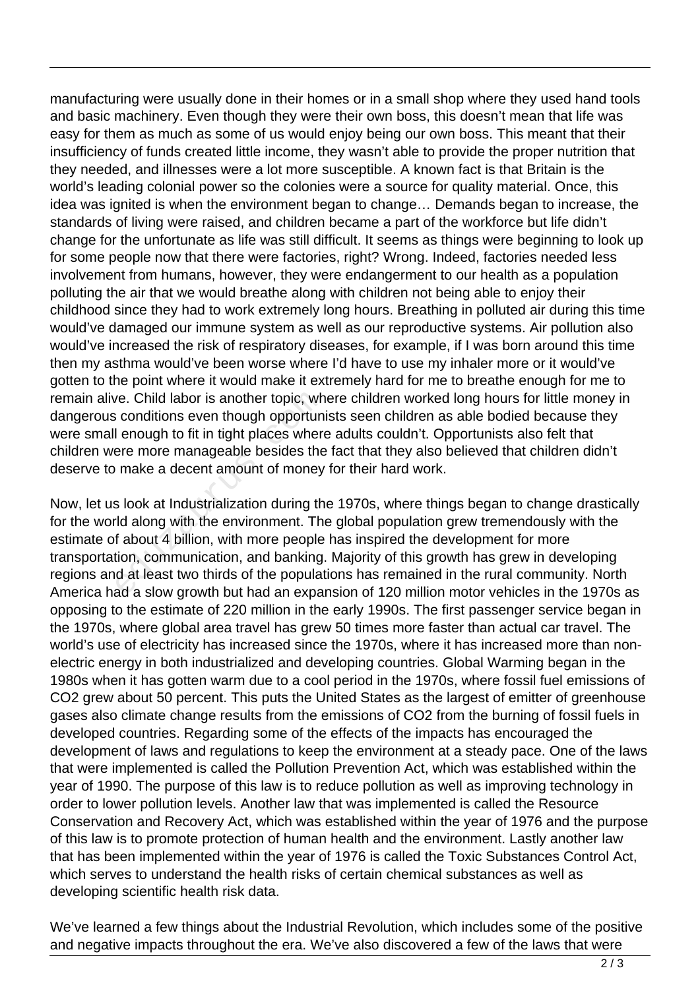manufacturing were usually done in their homes or in a small shop where they used hand tools and basic machinery. Even though they were their own boss, this doesn't mean that life was easy for them as much as some of us would enjoy being our own boss. This meant that their insufficiency of funds created little income, they wasn't able to provide the proper nutrition that they needed, and illnesses were a lot more susceptible. A known fact is that Britain is the world's leading colonial power so the colonies were a source for quality material. Once, this idea was ignited is when the environment began to change… Demands began to increase, the standards of living were raised, and children became a part of the workforce but life didn't change for the unfortunate as life was still difficult. It seems as things were beginning to look up for some people now that there were factories, right? Wrong. Indeed, factories needed less involvement from humans, however, they were endangerment to our health as a population polluting the air that we would breathe along with children not being able to enjoy their childhood since they had to work extremely long hours. Breathing in polluted air during this time would've damaged our immune system as well as our reproductive systems. Air pollution also would've increased the risk of respiratory diseases, for example, if I was born around this time then my asthma would've been worse where I'd have to use my inhaler more or it would've gotten to the point where it would make it extremely hard for me to breathe enough for me to remain alive. Child labor is another topic, where children worked long hours for little money in dangerous conditions even though opportunists seen children as able bodied because they were small enough to fit in tight places where adults couldn't. Opportunists also felt that children were more manageable besides the fact that they also believed that children didn't deserve to make a decent amount of money for their hard work.

Now, let us look at Industrialization during the 1970s, where things began to change drastically for the world along with the environment. The global population grew tremendously with the estimate of about 4 billion, with more people has inspired the development for more transportation, communication, and banking. Majority of this growth has grew in developing regions and at least two thirds of the populations has remained in the rural community. North America had a slow growth but had an expansion of 120 million motor vehicles in the 1970s as opposing to the estimate of 220 million in the early 1990s. The first passenger service began in the 1970s, where global area travel has grew 50 times more faster than actual car travel. The world's use of electricity has increased since the 1970s, where it has increased more than nonelectric energy in both industrialized and developing countries. Global Warming began in the 1980s when it has gotten warm due to a cool period in the 1970s, where fossil fuel emissions of CO2 grew about 50 percent. This puts the United States as the largest of emitter of greenhouse gases also climate change results from the emissions of CO2 from the burning of fossil fuels in developed countries. Regarding some of the effects of the impacts has encouraged the development of laws and regulations to keep the environment at a steady pace. One of the laws that were implemented is called the Pollution Prevention Act, which was established within the year of 1990. The purpose of this law is to reduce pollution as well as improving technology in order to lower pollution levels. Another law that was implemented is called the Resource Conservation and Recovery Act, which was established within the year of 1976 and the purpose of this law is to promote protection of human health and the environment. Lastly another law that has been implemented within the year of 1976 is called the Toxic Substances Control Act, which serves to understand the health risks of certain chemical substances as well as developing scientific health risk data. re. Child labor is another topic, when conditions even though opportundlencough to fit in tight places where the make a decent amount of money as look at Industrialization during the look at Industrialization during the lo

We've learned a few things about the Industrial Revolution, which includes some of the positive and negative impacts throughout the era. We've also discovered a few of the laws that were